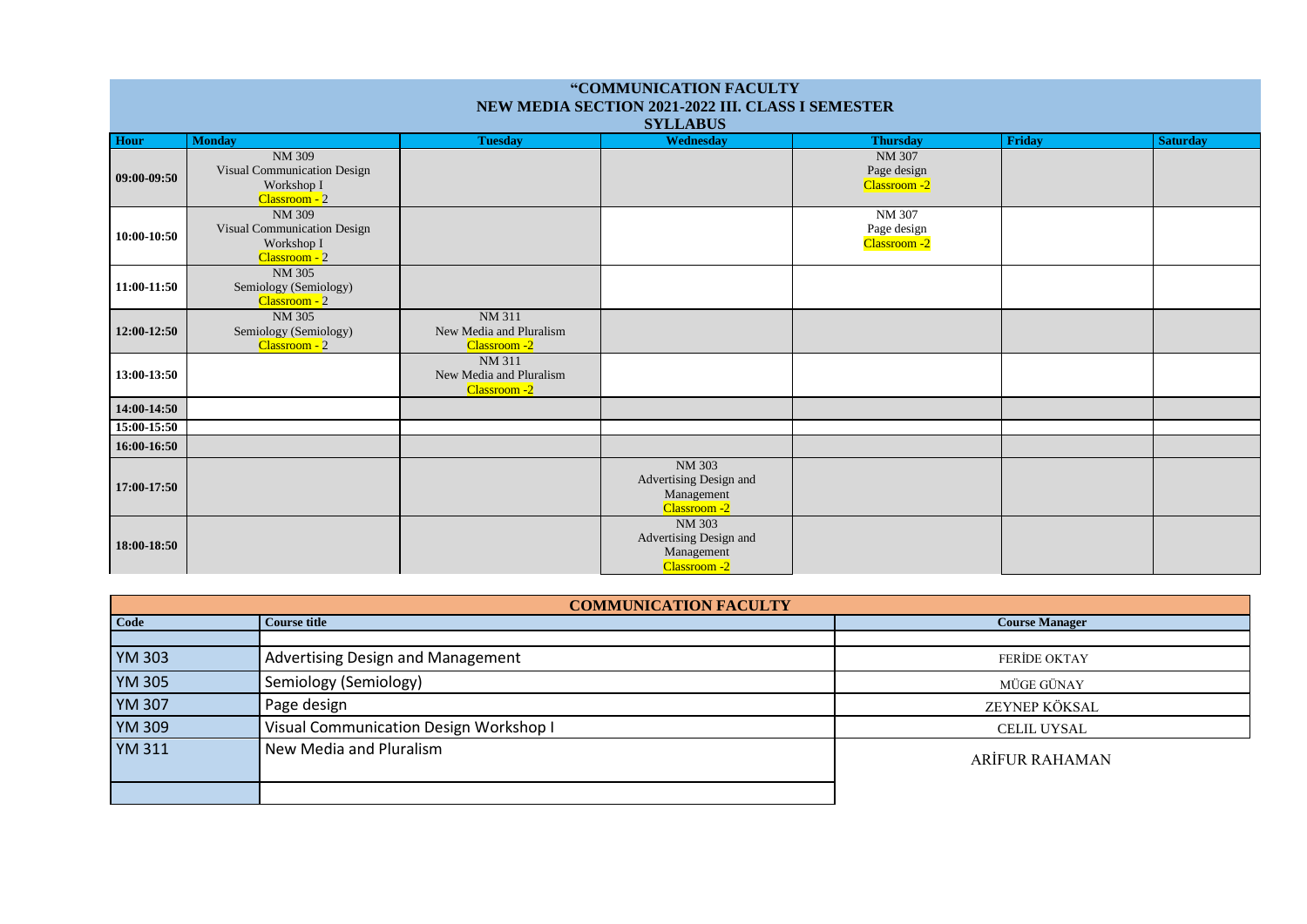| "COMMUNICATION FACULTY<br>NEW MEDIA SECTION 2021-2022 III. CLASS I SEMESTER<br><b>SYLLABUS</b> |                                                                             |                                                                 |                                                                       |                                              |               |                 |
|------------------------------------------------------------------------------------------------|-----------------------------------------------------------------------------|-----------------------------------------------------------------|-----------------------------------------------------------------------|----------------------------------------------|---------------|-----------------|
| Hour                                                                                           | <b>Monday</b>                                                               | <b>Tuesday</b>                                                  | Wednesday                                                             | <b>Thursday</b>                              | <b>Friday</b> | <b>Saturday</b> |
| 09:00-09:50                                                                                    | NM 309<br>Visual Communication Design<br>Workshop I<br>Classroom - 2        |                                                                 |                                                                       | <b>NM 307</b><br>Page design<br>Classroom -2 |               |                 |
| 10:00-10:50                                                                                    | <b>NM 309</b><br>Visual Communication Design<br>Workshop I<br>Classroom - 2 |                                                                 |                                                                       | NM 307<br>Page design<br>Classroom -2        |               |                 |
| 11:00-11:50                                                                                    | <b>NM 305</b><br>Semiology (Semiology)<br>Classroom - 2                     |                                                                 |                                                                       |                                              |               |                 |
| 12:00-12:50                                                                                    | NM 305<br>Semiology (Semiology)<br>Classroom - 2                            | <b>NM 311</b><br>New Media and Pluralism<br><b>Classroom</b> -2 |                                                                       |                                              |               |                 |
| 13:00-13:50                                                                                    |                                                                             | NM 311<br>New Media and Pluralism<br>Classroom -2               |                                                                       |                                              |               |                 |
| 14:00-14:50                                                                                    |                                                                             |                                                                 |                                                                       |                                              |               |                 |
| 15:00-15:50                                                                                    |                                                                             |                                                                 |                                                                       |                                              |               |                 |
| 16:00-16:50                                                                                    |                                                                             |                                                                 |                                                                       |                                              |               |                 |
| 17:00-17:50                                                                                    |                                                                             |                                                                 | <b>NM 303</b><br>Advertising Design and<br>Management<br>Classroom -2 |                                              |               |                 |
| 18:00-18:50                                                                                    |                                                                             |                                                                 | <b>NM 303</b><br>Advertising Design and<br>Management<br>Classroom -2 |                                              |               |                 |

| <b>COMMUNICATION FACULTY</b> |                                          |                       |  |  |
|------------------------------|------------------------------------------|-----------------------|--|--|
| Code                         | <b>Course title</b>                      | <b>Course Manager</b> |  |  |
| <b>YM 303</b>                | <b>Advertising Design and Management</b> | <b>FERIDE OKTAY</b>   |  |  |
| <b>YM 305</b>                | Semiology (Semiology)                    | MÜGE GÜNAY            |  |  |
| <b>YM 307</b>                | Page design                              | ZEYNEP KÖKSAL         |  |  |
| <b>YM 309</b>                | Visual Communication Design Workshop I   | <b>CELIL UYSAL</b>    |  |  |
| <b>YM 311</b>                | New Media and Pluralism                  | <b>ARİFUR RAHAMAN</b> |  |  |
|                              |                                          |                       |  |  |